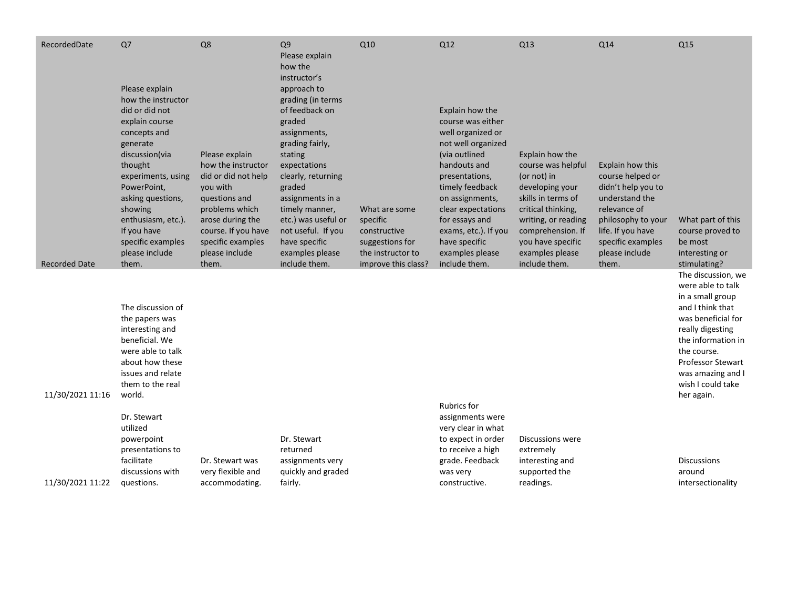| RecordedDate         | Q7<br>Please explain                                                                                                                                                                                                                                                      | Q8                                                                                                                                                                                                    | Q <sub>9</sub><br>Please explain<br>how the<br>instructor's<br>approach to                                                                                                                                                                                                          | Q10                                                                                                      | Q12                                                                                                                                                                                                                                                                                           | Q13                                                                                                                                                                                                                      | Q14                                                                                                                                                                                     | Q <sub>15</sub>                                                                                                                                                                                                                                    |
|----------------------|---------------------------------------------------------------------------------------------------------------------------------------------------------------------------------------------------------------------------------------------------------------------------|-------------------------------------------------------------------------------------------------------------------------------------------------------------------------------------------------------|-------------------------------------------------------------------------------------------------------------------------------------------------------------------------------------------------------------------------------------------------------------------------------------|----------------------------------------------------------------------------------------------------------|-----------------------------------------------------------------------------------------------------------------------------------------------------------------------------------------------------------------------------------------------------------------------------------------------|--------------------------------------------------------------------------------------------------------------------------------------------------------------------------------------------------------------------------|-----------------------------------------------------------------------------------------------------------------------------------------------------------------------------------------|----------------------------------------------------------------------------------------------------------------------------------------------------------------------------------------------------------------------------------------------------|
| <b>Recorded Date</b> | how the instructor<br>did or did not<br>explain course<br>concepts and<br>generate<br>discussion(via<br>thought<br>experiments, using<br>PowerPoint,<br>asking questions,<br>showing<br>enthusiasm, etc.).<br>If you have<br>specific examples<br>please include<br>them. | Please explain<br>how the instructor<br>did or did not help<br>you with<br>questions and<br>problems which<br>arose during the<br>course. If you have<br>specific examples<br>please include<br>them. | grading (in terms<br>of feedback on<br>graded<br>assignments,<br>grading fairly,<br>stating<br>expectations<br>clearly, returning<br>graded<br>assignments in a<br>timely manner,<br>etc.) was useful or<br>not useful. If you<br>have specific<br>examples please<br>include them. | What are some<br>specific<br>constructive<br>suggestions for<br>the instructor to<br>improve this class? | Explain how the<br>course was either<br>well organized or<br>not well organized<br>(via outlined<br>handouts and<br>presentations,<br>timely feedback<br>on assignments,<br>clear expectations<br>for essays and<br>exams, etc.). If you<br>have specific<br>examples please<br>include them. | Explain how the<br>course was helpful<br>(or not) in<br>developing your<br>skills in terms of<br>critical thinking,<br>writing, or reading<br>comprehension. If<br>you have specific<br>examples please<br>include them. | Explain how this<br>course helped or<br>didn't help you to<br>understand the<br>relevance of<br>philosophy to your<br>life. If you have<br>specific examples<br>please include<br>them. | What part of this<br>course proved to<br>be most<br>interesting or<br>stimulating?                                                                                                                                                                 |
| 11/30/2021 11:16     | The discussion of<br>the papers was<br>interesting and<br>beneficial. We<br>were able to talk<br>about how these<br>issues and relate<br>them to the real<br>world.                                                                                                       |                                                                                                                                                                                                       |                                                                                                                                                                                                                                                                                     |                                                                                                          |                                                                                                                                                                                                                                                                                               |                                                                                                                                                                                                                          |                                                                                                                                                                                         | The discussion, we<br>were able to talk<br>in a small group<br>and I think that<br>was beneficial for<br>really digesting<br>the information in<br>the course.<br><b>Professor Stewart</b><br>was amazing and I<br>wish I could take<br>her again. |
| 11/30/2021 11:22     | Dr. Stewart<br>utilized<br>powerpoint<br>presentations to<br>facilitate<br>discussions with<br>questions.                                                                                                                                                                 | Dr. Stewart was<br>very flexible and<br>accommodating.                                                                                                                                                | Dr. Stewart<br>returned<br>assignments very<br>quickly and graded<br>fairly.                                                                                                                                                                                                        |                                                                                                          | <b>Rubrics for</b><br>assignments were<br>very clear in what<br>to expect in order<br>to receive a high<br>grade. Feedback<br>was very<br>constructive.                                                                                                                                       | Discussions were<br>extremely<br>interesting and<br>supported the<br>readings.                                                                                                                                           |                                                                                                                                                                                         | <b>Discussions</b><br>around<br>intersectionality                                                                                                                                                                                                  |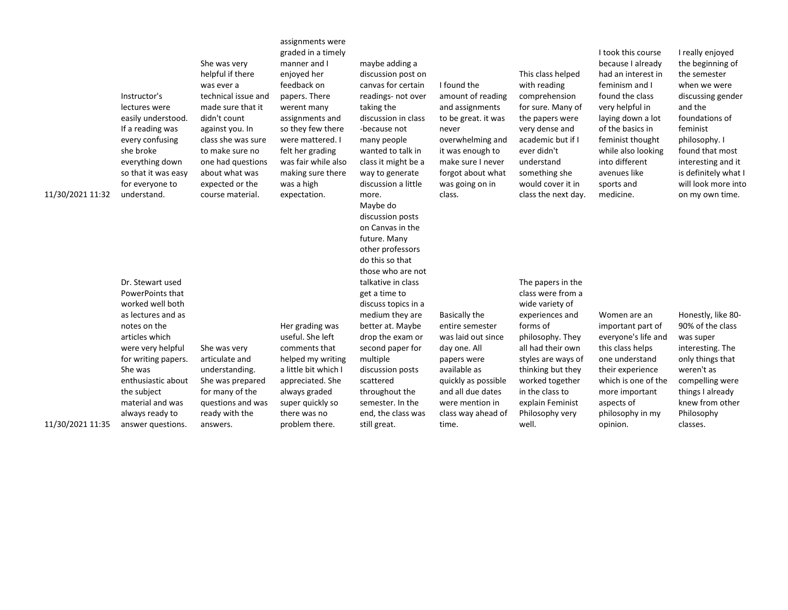| 11/30/2021 11:32 | Instructor's<br>lectures were<br>easily understood.<br>If a reading was<br>every confusing<br>she broke<br>everything down<br>so that it was easy<br>for everyone to<br>understand.                                                                                      | She was very<br>helpful if there<br>was ever a<br>technical issue and<br>made sure that it<br>didn't count<br>against you. In<br>class she was sure<br>to make sure no<br>one had questions<br>about what was<br>expected or the<br>course material. | assignments were<br>graded in a timely<br>manner and I<br>enjoyed her<br>feedback on<br>papers. There<br>werent many<br>assignments and<br>so they few there<br>were mattered. I<br>felt her grading<br>was fair while also<br>making sure there<br>was a high<br>expectation. | maybe adding a<br>discussion post on<br>canvas for certain<br>readings- not over<br>taking the<br>discussion in class<br>-because not<br>many people<br>wanted to talk in<br>class it might be a<br>way to generate<br>discussion a little<br>more.<br>Maybe do<br>discussion posts<br>on Canvas in the<br>future. Many<br>other professors<br>do this so that<br>those who are not | I found the<br>amount of reading<br>and assignments<br>to be great. it was<br>never<br>overwhelming and<br>it was enough to<br>make sure I never<br>forgot about what<br>was going on in<br>class.         | This class helped<br>with reading<br>comprehension<br>for sure. Many of<br>the papers were<br>very dense and<br>academic but if I<br>ever didn't<br>understand<br>something she<br>would cover it in<br>class the next day.                                        | I took this course<br>because I already<br>had an interest in<br>feminism and I<br>found the class<br>very helpful in<br>laying down a lot<br>of the basics in<br>feminist thought<br>while also looking<br>into different<br>avenues like<br>sports and<br>medicine. | I really enjoyed<br>the beginning of<br>the semester<br>when we were<br>discussing gender<br>and the<br>foundations of<br>feminist<br>philosophy. I<br>found that most<br>interesting and it<br>is definitely what I<br>will look more into<br>on my own time. |
|------------------|--------------------------------------------------------------------------------------------------------------------------------------------------------------------------------------------------------------------------------------------------------------------------|------------------------------------------------------------------------------------------------------------------------------------------------------------------------------------------------------------------------------------------------------|--------------------------------------------------------------------------------------------------------------------------------------------------------------------------------------------------------------------------------------------------------------------------------|-------------------------------------------------------------------------------------------------------------------------------------------------------------------------------------------------------------------------------------------------------------------------------------------------------------------------------------------------------------------------------------|------------------------------------------------------------------------------------------------------------------------------------------------------------------------------------------------------------|--------------------------------------------------------------------------------------------------------------------------------------------------------------------------------------------------------------------------------------------------------------------|-----------------------------------------------------------------------------------------------------------------------------------------------------------------------------------------------------------------------------------------------------------------------|----------------------------------------------------------------------------------------------------------------------------------------------------------------------------------------------------------------------------------------------------------------|
| 11/30/2021 11:35 | Dr. Stewart used<br>PowerPoints that<br>worked well both<br>as lectures and as<br>notes on the<br>articles which<br>were very helpful<br>for writing papers.<br>She was<br>enthusiastic about<br>the subject<br>material and was<br>always ready to<br>answer questions. | She was very<br>articulate and<br>understanding.<br>She was prepared<br>for many of the<br>questions and was<br>ready with the<br>answers.                                                                                                           | Her grading was<br>useful. She left<br>comments that<br>helped my writing<br>a little bit which I<br>appreciated. She<br>always graded<br>super quickly so<br>there was no<br>problem there.                                                                                   | talkative in class<br>get a time to<br>discuss topics in a<br>medium they are<br>better at. Maybe<br>drop the exam or<br>second paper for<br>multiple<br>discussion posts<br>scattered<br>throughout the<br>semester. In the<br>end, the class was<br>still great.                                                                                                                  | <b>Basically the</b><br>entire semester<br>was laid out since<br>day one. All<br>papers were<br>available as<br>quickly as possible<br>and all due dates<br>were mention in<br>class way ahead of<br>time. | The papers in the<br>class were from a<br>wide variety of<br>experiences and<br>forms of<br>philosophy. They<br>all had their own<br>styles are ways of<br>thinking but they<br>worked together<br>in the class to<br>explain Feminist<br>Philosophy very<br>well. | Women are an<br>important part of<br>everyone's life and<br>this class helps<br>one understand<br>their experience<br>which is one of the<br>more important<br>aspects of<br>philosophy in my<br>opinion.                                                             | Honestly, like 80-<br>90% of the class<br>was super<br>interesting. The<br>only things that<br>weren't as<br>compelling were<br>things I already<br>knew from other<br>Philosophy<br>classes.                                                                  |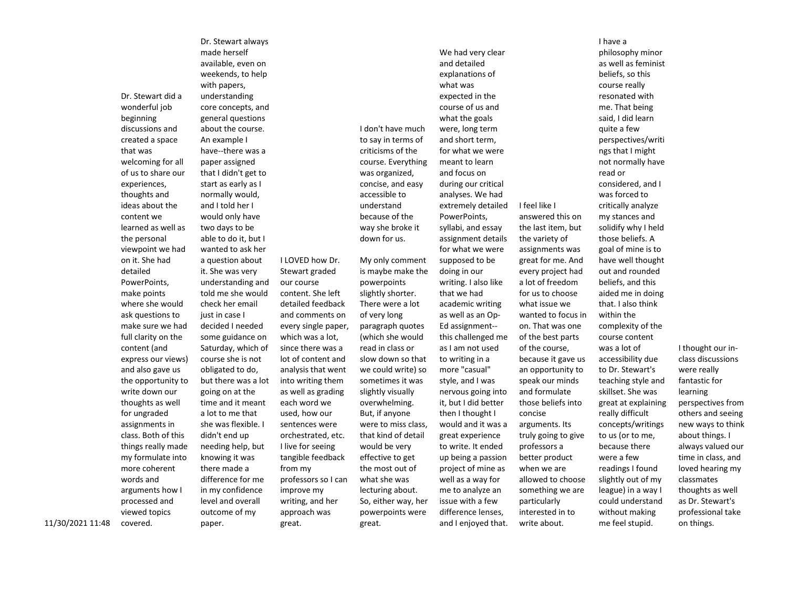Dr. Stewart did a wonderful job beginning discussions and created a space that was welcoming for all of us to share our experiences, thoughts and ideas about the content we learned as well as the personal viewpoint we had on it. She had detailed PowerPoints, make points where she would ask questions to make sure we had full clarity on the content (and express our views) and also gave us the opportunity to write down our thoughts as well for ungraded assignments in class. Both of this things really made my formulate into more coherent words and arguments how I processed and viewed topics covered.

Dr. Stewart always made herself available, even on weekends, to help with papers, understanding core concepts, and general questions about the course. An example I have--there was a paper assigned that I didn't get to start as early as I normally would, and I told her I would only have two days to be able to do it, but I wanted to ask her a question about it. She was very understanding and told me she would check her email just in case I decided I needed some guidance on Saturday, which of course she is not obligated to do, but there was a lot going on at the time and it meant a lot to me that she was flexible. I didn't end up needing help, but knowing it was there made a difference for me in my confidence level and overall outcome of my paper.

I LOVED how Dr. Stewart graded our course content. She left detailed feedback and comments on every single paper, which was a lot, since there was a lot of content and analysis that went into writing them as well as grading each word we used, how our sentences were orchestrated, etc. I live for seeing tangible feedback from my professors so I can improve my writing, and her approach was great.

I don't have much to say in terms of criticisms of the course. Everything was organized, concise, and easy accessible to understand because of the way she broke it down for us. My only comment is maybe make the powerpoints slightly shorter. There were a lot of very long paragraph quotes (which she would read in class or slow down so that we could write) so sometimes it was slightly visually overwhelming. But, if anyone were to miss class, that kind of detail would be very effective to get the most out of what she was lecturing about. So, either way, her powerpoints were great.

We had very clear and detailed what was

explanations of expected in the course of us and what the goals were, long term and short term, for what we were meant to learn and focus on during our critical analyses. We had extremely detailed PowerPoints, syllabi, and essay assignment details for what we were supposed to be doing in our writing. I also like that we had academic writing as well as an Op-Ed assignment- this challenged me as I am not used to writing in a more "casual" style, and I was nervous going into it, but I did better then I thought I would and it was a great experience to write. It ended up being a passion project of mine as well as a way for me to analyze an issue with a few difference lenses, and I enjoyed that.

I feel like I answered this on the last item, but the variety of assignments was great for me. And every project had a lot of freedom for us to choose what issue we wanted to focus in on. That was one of the best parts of the course, because it gave us an opportunity to speak our minds and formulate those beliefs into concise arguments. Its truly going to give professors a better product when we are allowed to choose something we are particularly interested in to write about.

I have a philosophy minor as well as feminist beliefs, so this course really resonated with me. That being said, I did learn quite a few perspectives/writi ngs that I might not normally have read or considered, and I was forced to critically analyze my stances and solidify why I held those beliefs. A goal of mine is to have well thought out and rounded beliefs, and this aided me in doing that. I also think within the complexity of the course content was a lot of accessibility due to Dr. Stewart's teaching style and skillset. She was great at explaining really difficult concepts/writings to us (or to me, because there were a few readings I found slightly out of my league) in a way I could understand without making me feel stupid.

I thought our inclass discussions were really fantastic for learning perspectives from others and seeing new ways to think about things. I always valued our time in class, and loved hearing my classmates thoughts as well as Dr. Stewart's professional take on things.

11/30/2021 11:48